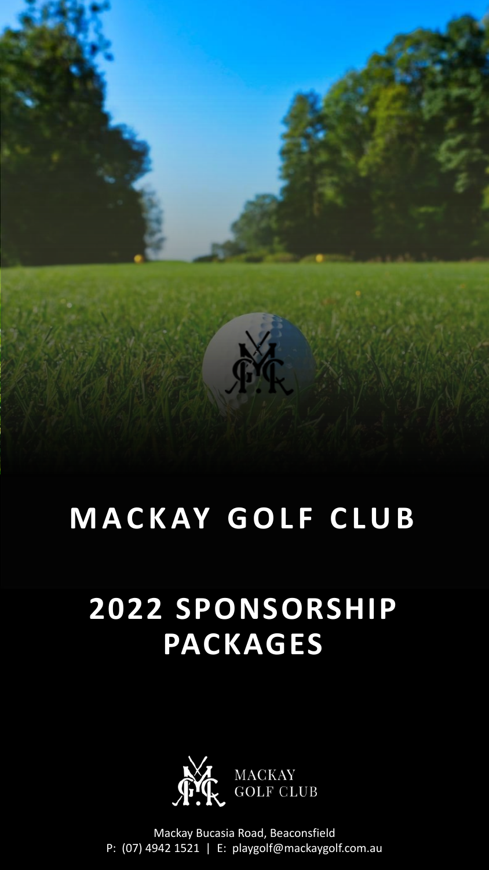# **MACKAY GOLF CLUB**

## **2022 SPONSORSHIP PACKAGES**



Mackay Bucasia Road, Beaconsfield P: (07) 4942 1521 | E: playgolf@mackaygolf.com.au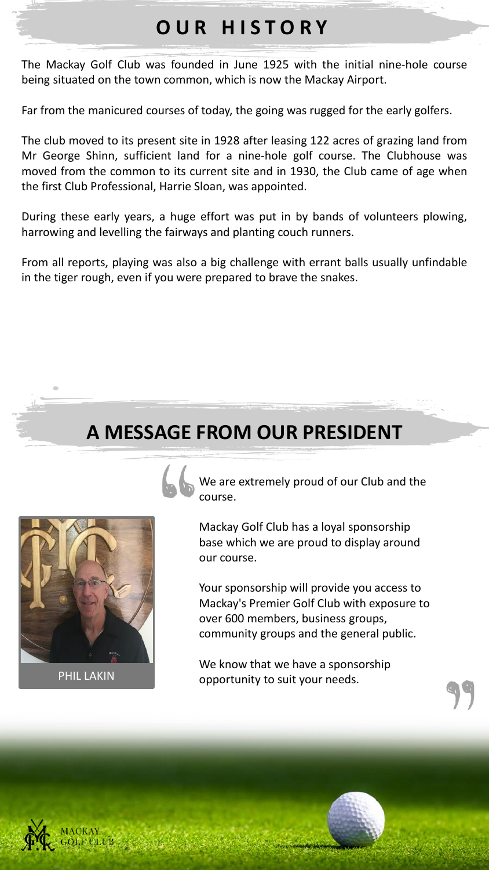### **O U R H I S T O R Y**

The Mackay Golf Club was founded in June 1925 with the initial nine-hole course being situated on the town common, which is now the Mackay Airport.

Far from the manicured courses of today, the going was rugged for the early golfers.

The club moved to its present site in 1928 after leasing 122 acres of grazing land from Mr George Shinn, sufficient land for a nine-hole golf course. The Clubhouse was moved from the common to its current site and in 1930, the Club came of age when the first Club Professional, Harrie Sloan, was appointed.

During these early years, a huge effort was put in by bands of volunteers plowing, harrowing and levelling the fairways and planting couch runners.

From all reports, playing was also a big challenge with errant balls usually unfindable in the tiger rough, even if you were prepared to brave the snakes.

### **A MESSAGE FROM OUR PRESIDENT**



PHIL LAKIN

We are extremely proud of our Club and the course.

Mackay Golf Club has a loyal sponsorship base which we are proud to display around our course.

Your sponsorship will provide you access to Mackay's Premier Golf Club with exposure to over 600 members, business groups, community groups and the general public.

We know that we have a sponsorship opportunity to suit your needs.

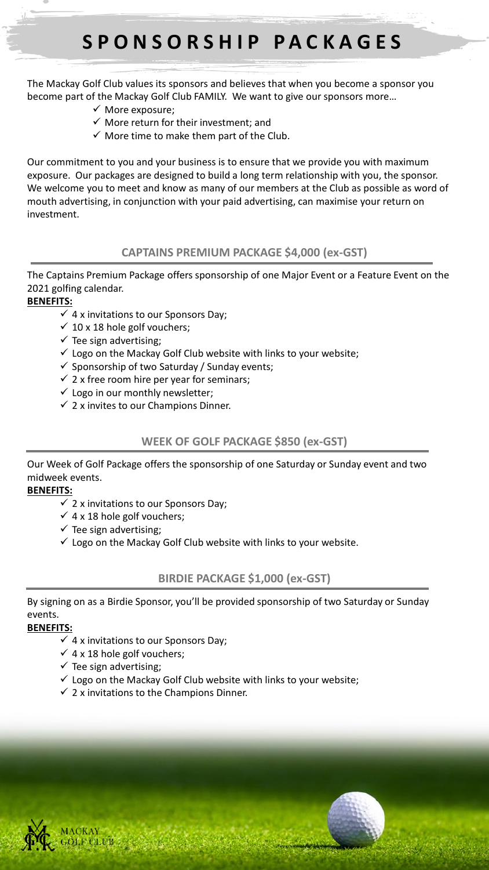### **S P O N S O R S H I P P A C K A G E S**

The Mackay Golf Club values its sponsors and believes that when you become a sponsor you become part of the Mackay Golf Club FAMILY. We want to give our sponsors more…

- ✓ More exposure;
- $\checkmark$  More return for their investment; and
- $\checkmark$  More time to make them part of the Club.

Our commitment to you and your business is to ensure that we provide you with maximum exposure. Our packages are designed to build a long term relationship with you, the sponsor. We welcome you to meet and know as many of our members at the Club as possible as word of mouth advertising, in conjunction with your paid advertising, can maximise your return on investment.

### **CAPTAINS PREMIUM PACKAGE \$4,000 (ex-GST)**

The Captains Premium Package offers sponsorship of one Major Event or a Feature Event on the 2021 golfing calendar.

#### **BENEFITS:**

- $\checkmark$  4 x invitations to our Sponsors Day;
- $\checkmark$  10 x 18 hole golf vouchers;
- $\checkmark$  Tee sign advertising;
- $\checkmark$  Logo on the Mackay Golf Club website with links to your website;
- $\checkmark$  Sponsorship of two Saturday / Sunday events;
- $\checkmark$  2 x free room hire per year for seminars;
- $\checkmark$  Logo in our monthly newsletter;
- $\checkmark$  2 x invites to our Champions Dinner.

### **WEEK OF GOLF PACKAGE \$850 (ex-GST)**

Our Week of Golf Package offers the sponsorship of one Saturday or Sunday event and two midweek events.

### **BENEFITS:**

- $\checkmark$  2 x invitations to our Sponsors Day;
	- $\times$  4 x 18 hole golf vouchers;
	- $\checkmark$  Tee sign advertising;
	- $\checkmark$  Logo on the Mackay Golf Club website with links to your website.

### **BIRDIE PACKAGE \$1,000 (ex-GST)**

By signing on as a Birdie Sponsor, you'll be provided sponsorship of two Saturday or Sunday events.

#### **BENEFITS:**

- $\checkmark$  4 x invitations to our Sponsors Day;
- $\checkmark$  4 x 18 hole golf vouchers;
- $\checkmark$  Tee sign advertising;
- $\checkmark$  Logo on the Mackay Golf Club website with links to your website;
- $\checkmark$  2 x invitations to the Champions Dinner.



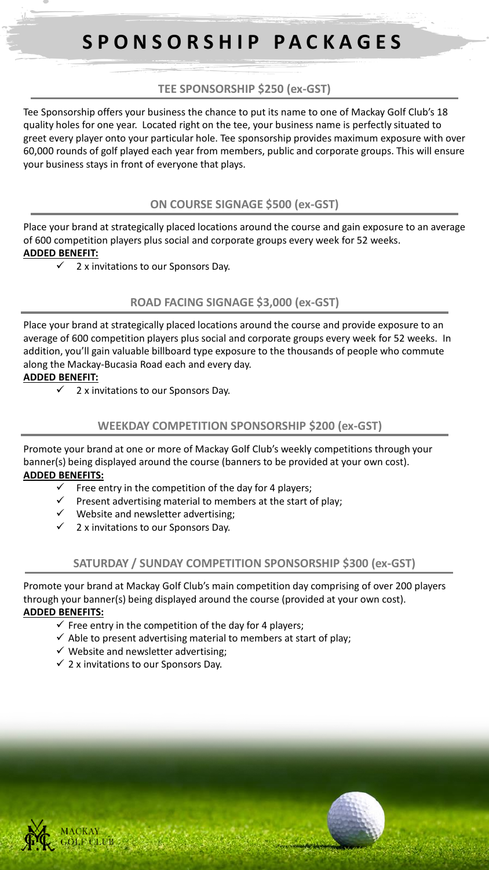### **S P O N S O R S H I P P A C K A G E S**

### **TEE SPONSORSHIP \$250 (ex-GST)**

Tee Sponsorship offers your business the chance to put its name to one of Mackay Golf Club's 18 quality holes for one year. Located right on the tee, your business name is perfectly situated to greet every player onto your particular hole. Tee sponsorship provides maximum exposure with over 60,000 rounds of golf played each year from members, public and corporate groups. This will ensure your business stays in front of everyone that plays.

### **ON COURSE SIGNAGE \$500 (ex-GST)**

Place your brand at strategically placed locations around the course and gain exposure to an average of 600 competition players plus social and corporate groups every week for 52 weeks. **ADDED BENEFIT:**

2 x invitations to our Sponsors Day.

### **ROAD FACING SIGNAGE \$3,000 (ex-GST)**

Place your brand at strategically placed locations around the course and provide exposure to an average of 600 competition players plus social and corporate groups every week for 52 weeks. In addition, you'll gain valuable billboard type exposure to the thousands of people who commute along the Mackay-Bucasia Road each and every day.

#### **ADDED BENEFIT:**

2 x invitations to our Sponsors Day.

#### **WEEKDAY COMPETITION SPONSORSHIP \$200 (ex-GST)**

Promote your brand at one or more of Mackay Golf Club's weekly competitions through your banner(s) being displayed around the course (banners to be provided at your own cost). **ADDED BENEFITS:**

- Free entry in the competition of the day for 4 players;
- Present advertising material to members at the start of play;
- Website and newsletter advertising;
- 2 x invitations to our Sponsors Day.

### **SATURDAY / SUNDAY COMPETITION SPONSORSHIP \$300 (ex-GST)**

Promote your brand at Mackay Golf Club's main competition day comprising of over 200 players through your banner(s) being displayed around the course (provided at your own cost). **ADDED BENEFITS:**

- $\checkmark$  Free entry in the competition of the day for 4 players;
- $\checkmark$  Able to present advertising material to members at start of play;
- $\checkmark$  Website and newsletter advertising;
- $\checkmark$  2 x invitations to our Sponsors Day.

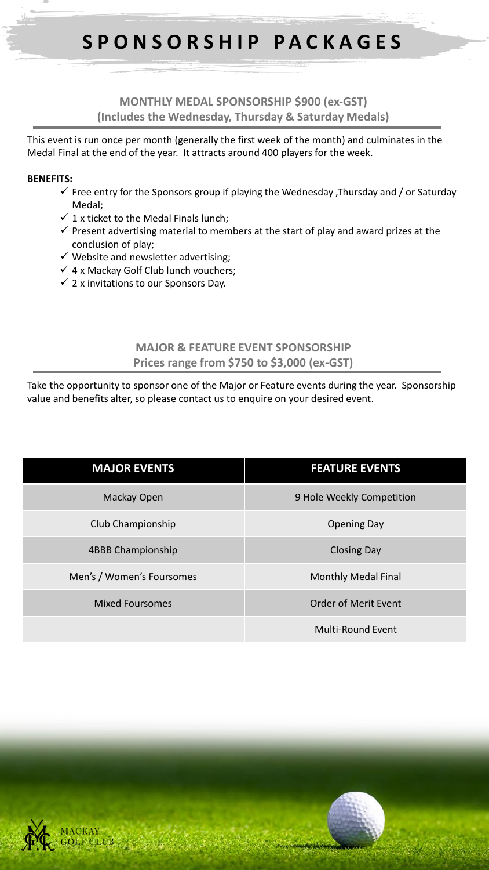### **S P O N S O R S H I P P A C K A G E S**

**MONTHLY MEDAL SPONSORSHIP \$900 (ex-GST) (Includes the Wednesday, Thursday & Saturday Medals)**

This event is run once per month (generally the first week of the month) and culminates in the Medal Final at the end of the year. It attracts around 400 players for the week.

#### **BENEFITS:**

- $\checkmark$  Free entry for the Sponsors group if playing the Wednesday , Thursday and / or Saturday Medal;
- $\checkmark$  1 x ticket to the Medal Finals lunch;
- $\checkmark$  Present advertising material to members at the start of play and award prizes at the conclusion of play;
- $\checkmark$  Website and newsletter advertising;
- $\checkmark$  4 x Mackay Golf Club lunch vouchers;
- $\checkmark$  2 x invitations to our Sponsors Day.

### **MAJOR & FEATURE EVENT SPONSORSHIP Prices range from \$750 to \$3,000 (ex-GST)**

Take the opportunity to sponsor one of the Major or Feature events during the year. Sponsorship value and benefits alter, so please contact us to enquire on your desired event.

| <b>MAJOR EVENTS</b>       | <b>FEATURE EVENTS</b>       |
|---------------------------|-----------------------------|
| Mackay Open               | 9 Hole Weekly Competition   |
| Club Championship         | <b>Opening Day</b>          |
| 4BBB Championship         | <b>Closing Day</b>          |
| Men's / Women's Foursomes | <b>Monthly Medal Final</b>  |
| Mixed Foursomes           | <b>Order of Merit Event</b> |
|                           | <b>Multi-Round Event</b>    |